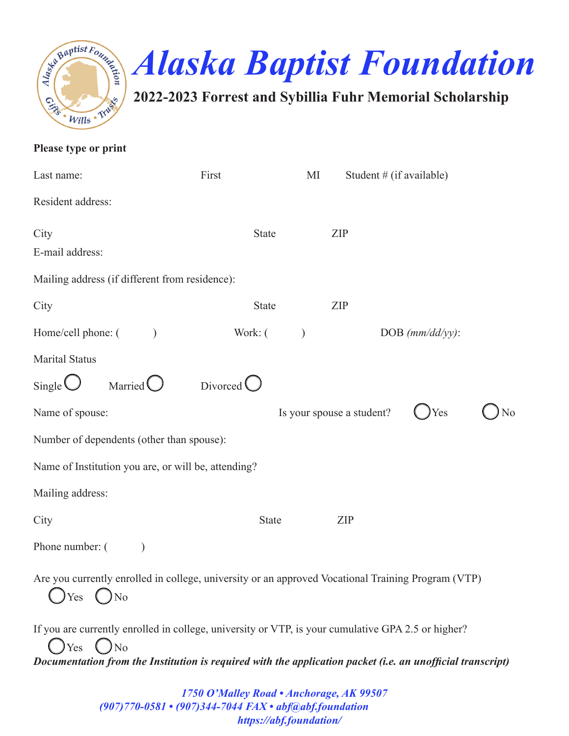



**2022-2023 Forrest and Sybillia Fuhr Memorial Scholarship**

| Please type or print                                                                                                                                                                                                           |                     |               |                           |                    |    |
|--------------------------------------------------------------------------------------------------------------------------------------------------------------------------------------------------------------------------------|---------------------|---------------|---------------------------|--------------------|----|
| Last name:                                                                                                                                                                                                                     | First               | MI            | Student # (if available)  |                    |    |
| Resident address:                                                                                                                                                                                                              |                     |               |                           |                    |    |
| City<br>E-mail address:                                                                                                                                                                                                        | <b>State</b>        |               | ZIP                       |                    |    |
| Mailing address (if different from residence):                                                                                                                                                                                 |                     |               |                           |                    |    |
| City                                                                                                                                                                                                                           | <b>State</b>        |               | ZIP                       |                    |    |
| Home/cell phone: (                                                                                                                                                                                                             | Work: (             | $\mathcal{L}$ |                           | DOB $(mm/dd/yy)$ : |    |
| Marital Status                                                                                                                                                                                                                 |                     |               |                           |                    |    |
| Single $\bigcup$<br>Married $\bigcirc$                                                                                                                                                                                         | Divorced $\bigcirc$ |               |                           |                    |    |
| Name of spouse:                                                                                                                                                                                                                |                     |               | Is your spouse a student? | Yes                | No |
| Number of dependents (other than spouse):                                                                                                                                                                                      |                     |               |                           |                    |    |
| Name of Institution you are, or will be, attending?                                                                                                                                                                            |                     |               |                           |                    |    |
| Mailing address:                                                                                                                                                                                                               |                     |               |                           |                    |    |
| City                                                                                                                                                                                                                           | <b>State</b>        |               | <b>ZIP</b>                |                    |    |
| Phone number: (                                                                                                                                                                                                                |                     |               |                           |                    |    |
| Are you currently enrolled in college, university or an approved Vocational Training Program (VTP)<br>$Yes$ ( )No                                                                                                              |                     |               |                           |                    |    |
| If you are currently enrolled in college, university or VTP, is your cumulative GPA 2.5 or higher?<br>$Yes$ $No$<br>Documentation from the Institution is required with the application packet (i.e. an unofficial transcript) |                     |               |                           |                    |    |
|                                                                                                                                                                                                                                |                     |               |                           |                    |    |

*1750 O'Malley Road • Anchorage, AK 99507 (907)770-0581 • (907)344-7044 FAX • abf@abf.foundation https://abf.foundation/*